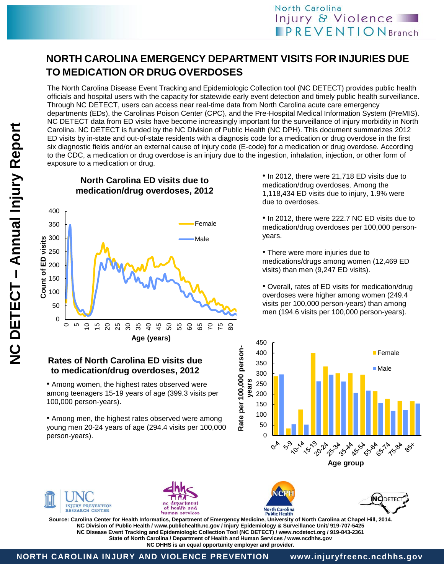# **NORTH CAROLINA EMERGENCY DEPARTMENT VISITS FOR INJURIES DUE TO MEDICATION OR DRUG OVERDOSES**

The North Carolina Disease Event Tracking and Epidemiologic Collection tool (NC DETECT) provides public health officials and hospital users with the capacity for statewide early event detection and timely public health surveillance. Through NC DETECT, users can access near real-time data from North Carolina acute care emergency departments (EDs), the Carolinas Poison Center (CPC), and the Pre-Hospital Medical Information System (PreMIS). NC DETECT data from ED visits have become increasingly important for the surveillance of injury morbidity in North Carolina. NC DETECT is funded by the NC Division of Public Health (NC DPH). This document summarizes 2012 ED visits by in-state and out-of-state residents with a diagnosis code for a medication or drug overdose in the first six diagnostic fields and/or an external cause of injury code (E-code) for a medication or drug overdose. According to the CDC, a medication or drug overdose is an injury due to the ingestion, inhalation, injection, or other form of exposure to a medication or drug.

400 Female 350 300 Count of ED visits Male **Count of ED visits** 250 200 150 100 50 0  $\overline{C}$  $\overline{5}$  $\supseteq$ 15 20 5 5 5 5 5 6 6 6 6 7 6 8 **Age (years)**

• Among women, the highest rates observed were among teenagers 15-19 years of age (399.3 visits per

**Rates of North Carolina ED visits due to medication/drug overdoses, 2012**

• Among men, the highest rates observed were among young men 20-24 years of age (294.4 visits per 100,000

**North Carolina ED visits due to medication/drug overdoses, 2012**

• In 2012, there were 21,718 ED visits due to medication/drug overdoses. Among the 1,118,434 ED visits due to injury, 1.9% were due to overdoses.

• In 2012, there were 222.7 NC ED visits due to medication/drug overdoses per 100,000 personyears.

• There were more injuries due to medications/drugs among women (12,469 ED visits) than men (9,247 ED visits).

• Overall, rates of ED visits for medication/drug overdoses were higher among women (249.4 visits per 100,000 person-years) than among men (194.6 visits per 100,000 person-years).





person-years).

100,000 person-years).







**Source: Carolina Center for Health Informatics, Department of Emergency Medicine, University of North Carolina at Chapel Hill, 2014. NC Division of Public Health / www.publichealth.nc.gov / Injury Epidemiology & Surveillance Unit/ 919-707-5425 NC Disease Event Tracking and Epidemiologic Collection Tool (NC DETECT) / www.ncdetect.org / 919-843-2361 State of North Carolina / Department of Health and Human Services / www.ncdhhs.gov NC DHHS is an equal opportunity employer and provider.**